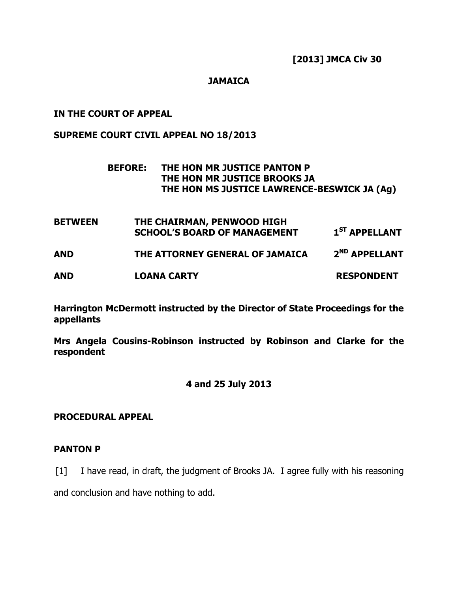# **JAMAICA**

# IN THE COURT OF APPEAL

## SUPREME COURT CIVIL APPEAL NO 18/2013

# BEFORE: THE HON MR JUSTICE PANTON P THE HON MR JUSTICE BROOKS JA THE HON MS JUSTICE LAWRENCE-BESWICK JA (Ag)

BETWEEN THE CHAIRMAN, PENWOOD HIGH SCHOOL'S BOARD OF MANAGEMENT  $1^{ST}$  APPELLANT AND THE ATTORNEY GENERAL OF JAMAICA 2<sup>ND</sup> APPELLANT AND LOANA CARTY RESPONDENT

Harrington McDermott instructed by the Director of State Proceedings for the appellants

Mrs Angela Cousins-Robinson instructed by Robinson and Clarke for the respondent

## 4 and 25 July 2013

## PROCEDURAL APPEAL

## PANTON P

[1] I have read, in draft, the judgment of Brooks JA. I agree fully with his reasoning

and conclusion and have nothing to add.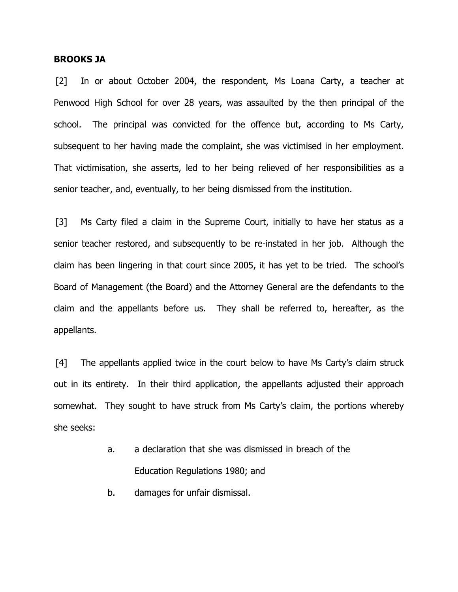### BROOKS JA

[2] In or about October 2004, the respondent, Ms Loana Carty, a teacher at Penwood High School for over 28 years, was assaulted by the then principal of the school. The principal was convicted for the offence but, according to Ms Carty, subsequent to her having made the complaint, she was victimised in her employment. That victimisation, she asserts, led to her being relieved of her responsibilities as a senior teacher, and, eventually, to her being dismissed from the institution.

[3] Ms Carty filed a claim in the Supreme Court, initially to have her status as a senior teacher restored, and subsequently to be re-instated in her job. Although the claim has been lingering in that court since 2005, it has yet to be tried. The school's Board of Management (the Board) and the Attorney General are the defendants to the claim and the appellants before us. They shall be referred to, hereafter, as the appellants.

[4] The appellants applied twice in the court below to have Ms Carty's claim struck out in its entirety. In their third application, the appellants adjusted their approach somewhat. They sought to have struck from Ms Carty's claim, the portions whereby she seeks:

- a. a declaration that she was dismissed in breach of the Education Regulations 1980; and
- b. damages for unfair dismissal.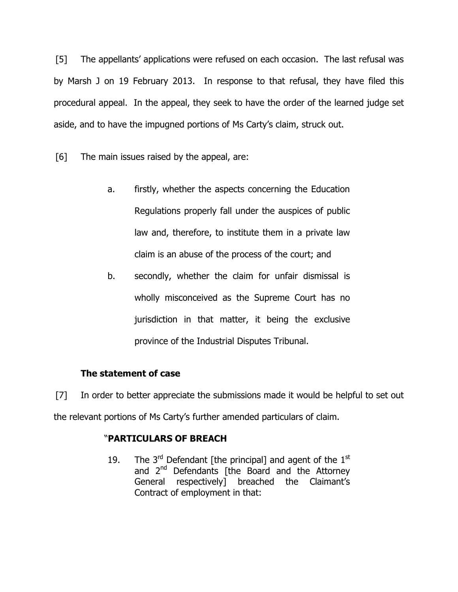[5] The appellants' applications were refused on each occasion. The last refusal was by Marsh J on 19 February 2013. In response to that refusal, they have filed this procedural appeal. In the appeal, they seek to have the order of the learned judge set aside, and to have the impugned portions of Ms Carty's claim, struck out.

[6] The main issues raised by the appeal, are:

- a. firstly, whether the aspects concerning the Education Regulations properly fall under the auspices of public law and, therefore, to institute them in a private law claim is an abuse of the process of the court; and
- b. secondly, whether the claim for unfair dismissal is wholly misconceived as the Supreme Court has no jurisdiction in that matter, it being the exclusive province of the Industrial Disputes Tribunal.

# The statement of case

[7] In order to better appreciate the submissions made it would be helpful to set out the relevant portions of Ms Carty's further amended particulars of claim.

# "PARTICULARS OF BREACH

19. The  $3<sup>rd</sup>$  Defendant [the principal] and agent of the  $1<sup>st</sup>$ and 2<sup>nd</sup> Defendants [the Board and the Attorney General respectively] breached the Claimant's Contract of employment in that: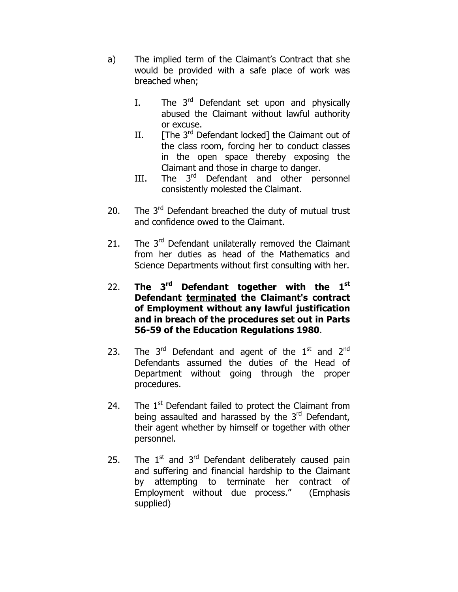- a) The implied term of the Claimant's Contract that she would be provided with a safe place of work was breached when;
	- I. The  $3<sup>rd</sup>$  Defendant set upon and physically abused the Claimant without lawful authority or excuse.
	- II.  $[The 3<sup>rd</sup> Defendant locked]$  the Claimant out of the class room, forcing her to conduct classes in the open space thereby exposing the Claimant and those in charge to danger.
	- III. The 3<sup>rd</sup> Defendant and other personnel consistently molested the Claimant.
- 20. The  $3^{rd}$  Defendant breached the duty of mutual trust and confidence owed to the Claimant.
- 21. The  $3^{rd}$  Defendant unilaterally removed the Claimant from her duties as head of the Mathematics and Science Departments without first consulting with her.
- 22. The  $3^{rd}$  Defendant together with the  $1^{st}$ Defendant terminated the Claimant's contract of Employment without any lawful justification and in breach of the procedures set out in Parts 56-59 of the Education Regulations 1980.
- 23. The 3<sup>rd</sup> Defendant and agent of the 1<sup>st</sup> and 2<sup>nd</sup> Defendants assumed the duties of the Head of Department without going through the proper procedures.
- 24. The  $1<sup>st</sup>$  Defendant failed to protect the Claimant from being assaulted and harassed by the 3<sup>rd</sup> Defendant, their agent whether by himself or together with other personnel.
- 25. The  $1<sup>st</sup>$  and  $3<sup>rd</sup>$  Defendant deliberately caused pain and suffering and financial hardship to the Claimant by attempting to terminate her contract of Employment without due process." (Emphasis supplied)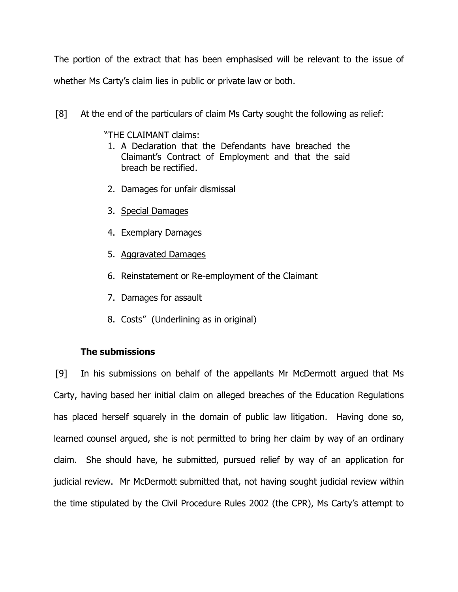The portion of the extract that has been emphasised will be relevant to the issue of whether Ms Carty's claim lies in public or private law or both.

[8] At the end of the particulars of claim Ms Carty sought the following as relief:

"THE CLAIMANT claims:

- 1. A Declaration that the Defendants have breached the Claimant's Contract of Employment and that the said breach be rectified.
- 2. Damages for unfair dismissal
- 3. Special Damages
- 4. Exemplary Damages
- 5. Aggravated Damages
- 6. Reinstatement or Re-employment of the Claimant
- 7. Damages for assault
- 8. Costs" (Underlining as in original)

# The submissions

[9] In his submissions on behalf of the appellants Mr McDermott argued that Ms Carty, having based her initial claim on alleged breaches of the Education Regulations has placed herself squarely in the domain of public law litigation. Having done so, learned counsel argued, she is not permitted to bring her claim by way of an ordinary claim. She should have, he submitted, pursued relief by way of an application for judicial review. Mr McDermott submitted that, not having sought judicial review within the time stipulated by the Civil Procedure Rules 2002 (the CPR), Ms Carty's attempt to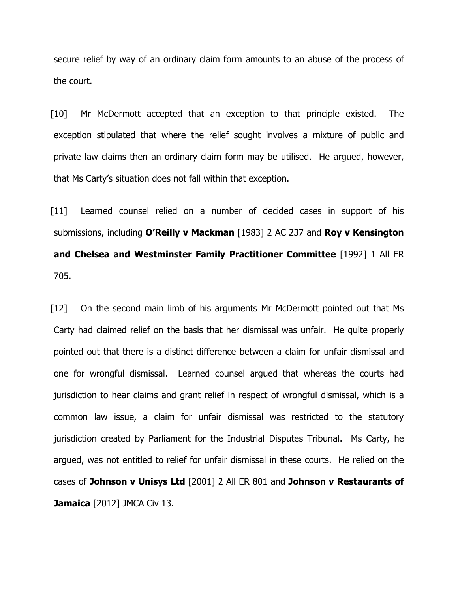secure relief by way of an ordinary claim form amounts to an abuse of the process of the court.

[10] Mr McDermott accepted that an exception to that principle existed. The exception stipulated that where the relief sought involves a mixture of public and private law claims then an ordinary claim form may be utilised. He argued, however, that Ms Carty's situation does not fall within that exception.

[11] Learned counsel relied on a number of decided cases in support of his submissions, including O'Reilly v Mackman [1983] 2 AC 237 and Roy v Kensington and Chelsea and Westminster Family Practitioner Committee [1992] 1 All ER 705.

[12] On the second main limb of his arguments Mr McDermott pointed out that Ms Carty had claimed relief on the basis that her dismissal was unfair. He quite properly pointed out that there is a distinct difference between a claim for unfair dismissal and one for wrongful dismissal. Learned counsel argued that whereas the courts had jurisdiction to hear claims and grant relief in respect of wrongful dismissal, which is a common law issue, a claim for unfair dismissal was restricted to the statutory jurisdiction created by Parliament for the Industrial Disputes Tribunal. Ms Carty, he argued, was not entitled to relief for unfair dismissal in these courts. He relied on the cases of Johnson v Unisys Ltd [2001] 2 All ER 801 and Johnson v Restaurants of Jamaica [2012] JMCA Civ 13.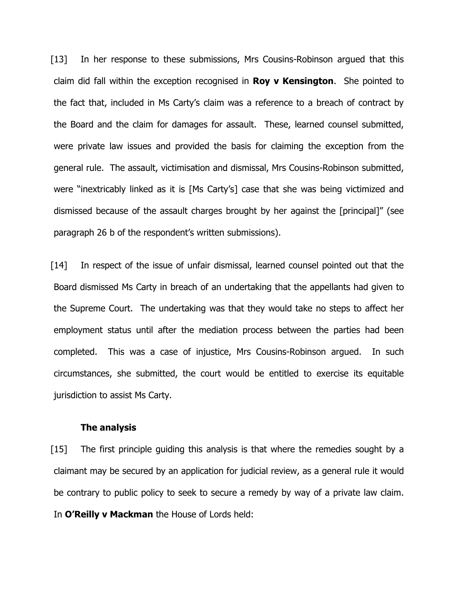[13] In her response to these submissions, Mrs Cousins-Robinson argued that this claim did fall within the exception recognised in **Roy v Kensington**. She pointed to the fact that, included in Ms Carty's claim was a reference to a breach of contract by the Board and the claim for damages for assault. These, learned counsel submitted, were private law issues and provided the basis for claiming the exception from the general rule. The assault, victimisation and dismissal, Mrs Cousins-Robinson submitted, were "inextricably linked as it is [Ms Carty's] case that she was being victimized and dismissed because of the assault charges brought by her against the [principal]" (see paragraph 26 b of the respondent's written submissions).

[14] In respect of the issue of unfair dismissal, learned counsel pointed out that the Board dismissed Ms Carty in breach of an undertaking that the appellants had given to the Supreme Court. The undertaking was that they would take no steps to affect her employment status until after the mediation process between the parties had been completed. This was a case of injustice, Mrs Cousins-Robinson argued. In such circumstances, she submitted, the court would be entitled to exercise its equitable jurisdiction to assist Ms Carty.

### The analysis

[15] The first principle quiding this analysis is that where the remedies sought by a claimant may be secured by an application for judicial review, as a general rule it would be contrary to public policy to seek to secure a remedy by way of a private law claim. In O'Reilly v Mackman the House of Lords held: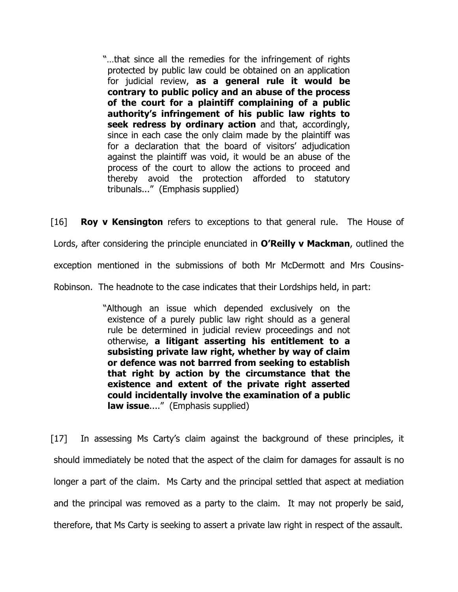"…that since all the remedies for the infringement of rights protected by public law could be obtained on an application for judicial review, as a general rule it would be contrary to public policy and an abuse of the process of the court for a plaintiff complaining of a public authority's infringement of his public law rights to seek redress by ordinary action and that, accordingly, since in each case the only claim made by the plaintiff was for a declaration that the board of visitors' adjudication against the plaintiff was void, it would be an abuse of the process of the court to allow the actions to proceed and thereby avoid the protection afforded to statutory tribunals..." (Emphasis supplied)

 $[16]$  **Roy v Kensington** refers to exceptions to that general rule. The House of Lords, after considering the principle enunciated in O'Reilly v Mackman, outlined the exception mentioned in the submissions of both Mr McDermott and Mrs Cousins-Robinson. The headnote to the case indicates that their Lordships held, in part:

> "Although an issue which depended exclusively on the existence of a purely public law right should as a general rule be determined in judicial review proceedings and not otherwise, a litigant asserting his entitlement to a subsisting private law right, whether by way of claim or defence was not barrred from seeking to establish that right by action by the circumstance that the existence and extent of the private right asserted could incidentally involve the examination of a public law issue...." (Emphasis supplied)

[17] In assessing Ms Carty's claim against the background of these principles, it should immediately be noted that the aspect of the claim for damages for assault is no longer a part of the claim. Ms Carty and the principal settled that aspect at mediation and the principal was removed as a party to the claim. It may not properly be said, therefore, that Ms Carty is seeking to assert a private law right in respect of the assault.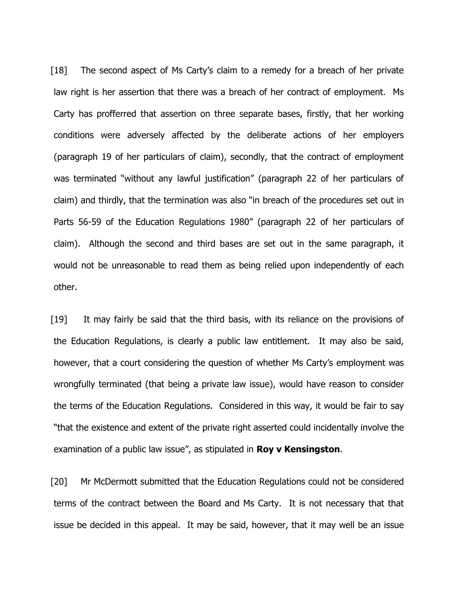[18] The second aspect of Ms Carty's claim to a remedy for a breach of her private law right is her assertion that there was a breach of her contract of employment. Ms Carty has profferred that assertion on three separate bases, firstly, that her working conditions were adversely affected by the deliberate actions of her employers (paragraph 19 of her particulars of claim), secondly, that the contract of employment was terminated "without any lawful justification" (paragraph 22 of her particulars of claim) and thirdly, that the termination was also "in breach of the procedures set out in Parts 56-59 of the Education Regulations 1980" (paragraph 22 of her particulars of claim). Although the second and third bases are set out in the same paragraph, it would not be unreasonable to read them as being relied upon independently of each other.

[19] It may fairly be said that the third basis, with its reliance on the provisions of the Education Regulations, is clearly a public law entitlement. It may also be said, however, that a court considering the question of whether Ms Carty's employment was wrongfully terminated (that being a private law issue), would have reason to consider the terms of the Education Regulations. Considered in this way, it would be fair to say "that the existence and extent of the private right asserted could incidentally involve the examination of a public law issue", as stipulated in **Roy v Kensingston**.

[20] Mr McDermott submitted that the Education Regulations could not be considered terms of the contract between the Board and Ms Carty. It is not necessary that that issue be decided in this appeal. It may be said, however, that it may well be an issue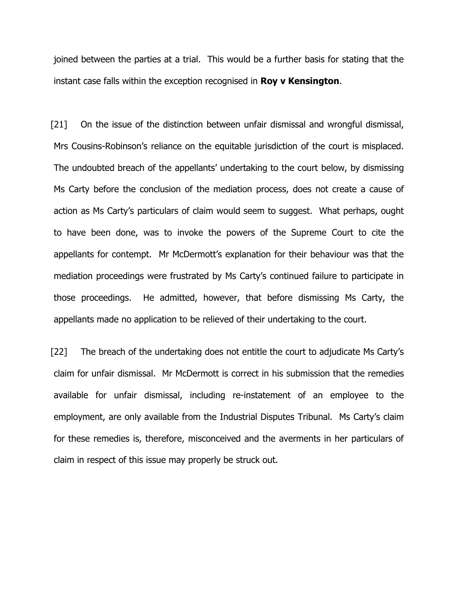joined between the parties at a trial. This would be a further basis for stating that the instant case falls within the exception recognised in **Roy v Kensington**.

[21] On the issue of the distinction between unfair dismissal and wrongful dismissal, Mrs Cousins-Robinson's reliance on the equitable jurisdiction of the court is misplaced. The undoubted breach of the appellants' undertaking to the court below, by dismissing Ms Carty before the conclusion of the mediation process, does not create a cause of action as Ms Carty's particulars of claim would seem to suggest. What perhaps, ought to have been done, was to invoke the powers of the Supreme Court to cite the appellants for contempt. Mr McDermott's explanation for their behaviour was that the mediation proceedings were frustrated by Ms Carty's continued failure to participate in those proceedings. He admitted, however, that before dismissing Ms Carty, the appellants made no application to be relieved of their undertaking to the court.

[22] The breach of the undertaking does not entitle the court to adjudicate Ms Carty's claim for unfair dismissal. Mr McDermott is correct in his submission that the remedies available for unfair dismissal, including re-instatement of an employee to the employment, are only available from the Industrial Disputes Tribunal. Ms Carty's claim for these remedies is, therefore, misconceived and the averments in her particulars of claim in respect of this issue may properly be struck out.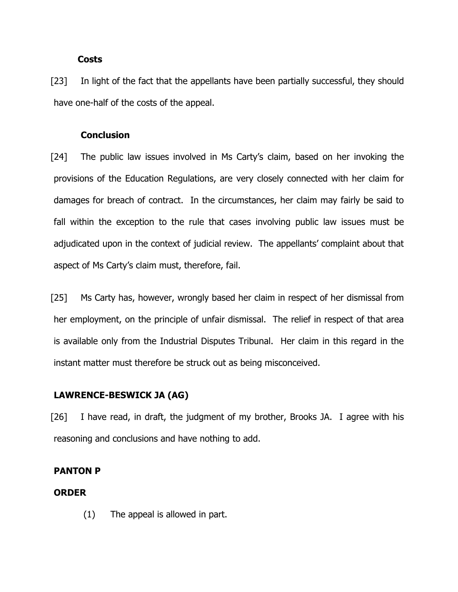### **Costs**

[23] In light of the fact that the appellants have been partially successful, they should have one-half of the costs of the appeal.

### **Conclusion**

[24] The public law issues involved in Ms Carty's claim, based on her invoking the provisions of the Education Regulations, are very closely connected with her claim for damages for breach of contract. In the circumstances, her claim may fairly be said to fall within the exception to the rule that cases involving public law issues must be adjudicated upon in the context of judicial review. The appellants' complaint about that aspect of Ms Carty's claim must, therefore, fail.

[25] Ms Carty has, however, wrongly based her claim in respect of her dismissal from her employment, on the principle of unfair dismissal. The relief in respect of that area is available only from the Industrial Disputes Tribunal. Her claim in this regard in the instant matter must therefore be struck out as being misconceived.

### LAWRENCE-BESWICK JA (AG)

[26] I have read, in draft, the judgment of my brother, Brooks JA. I agree with his reasoning and conclusions and have nothing to add.

### PANTON P

#### ORDER

(1) The appeal is allowed in part.